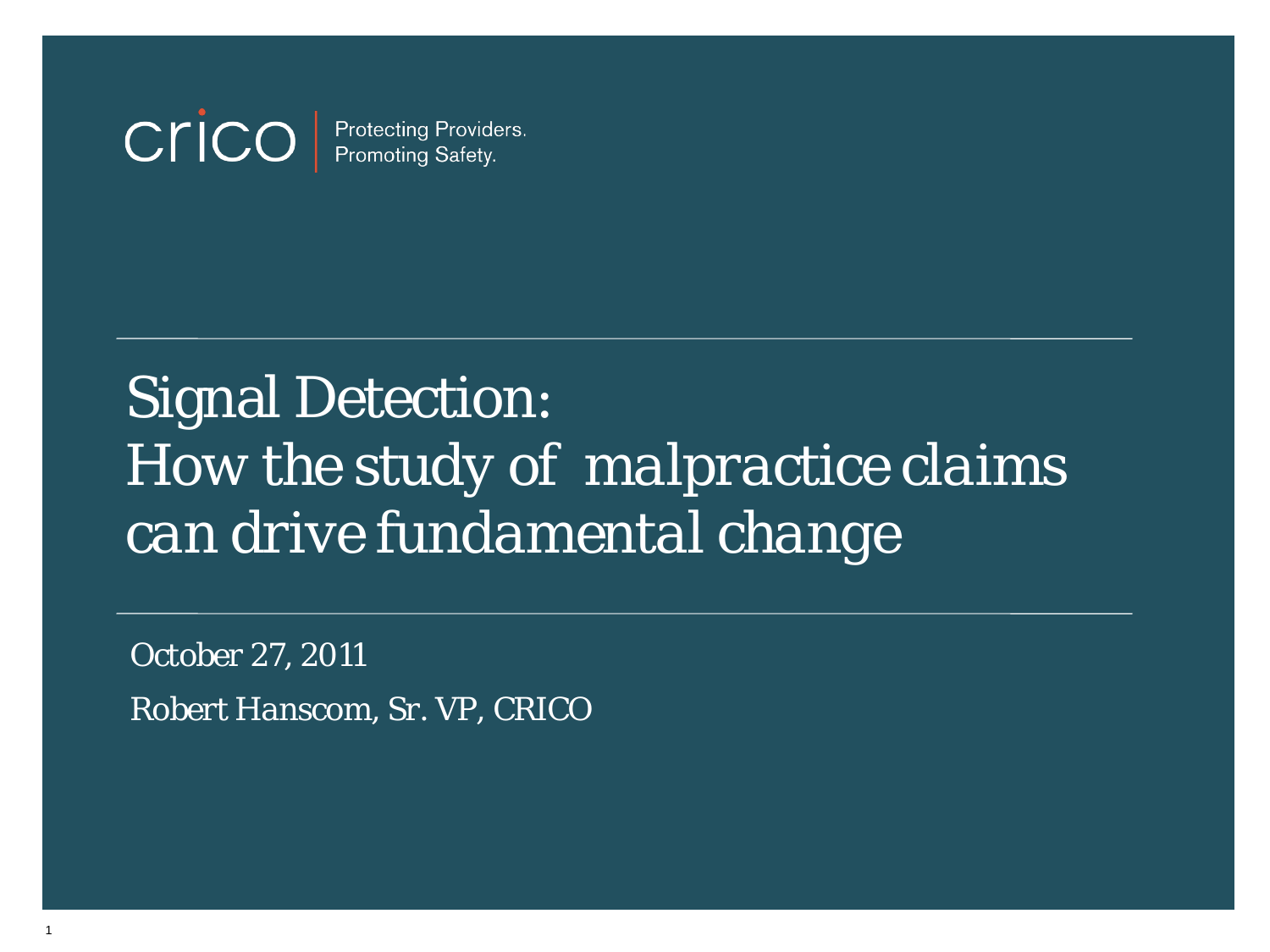#### cricc Protecting Providers.<br>Promoting Safety.

## Signal Detection: *How the study of malpractice claims can drive fundamental change*

*October 27, 2011 Robert Hanscom, Sr. VP, CRICO*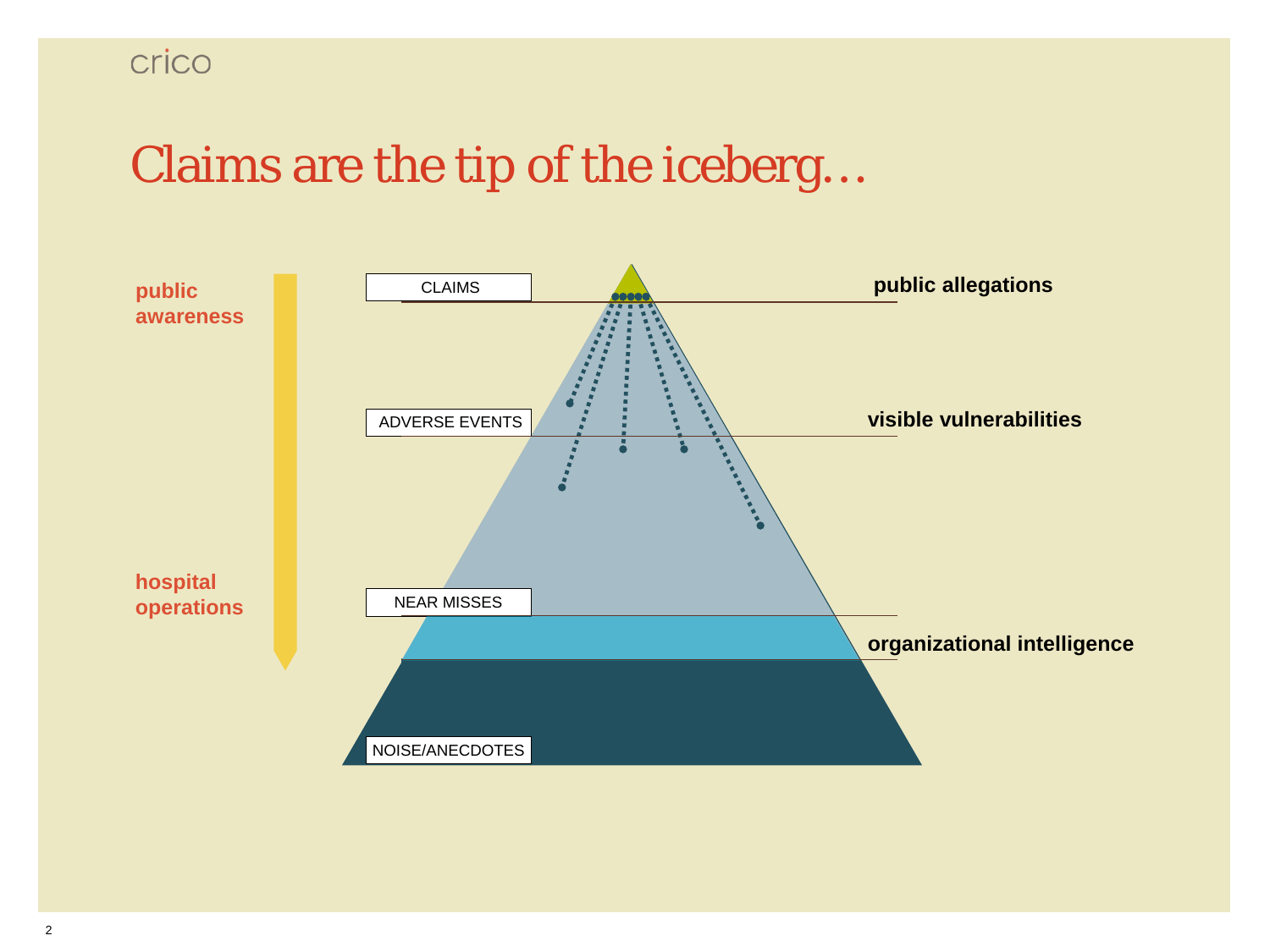## Claims are the tip of the iceberg…

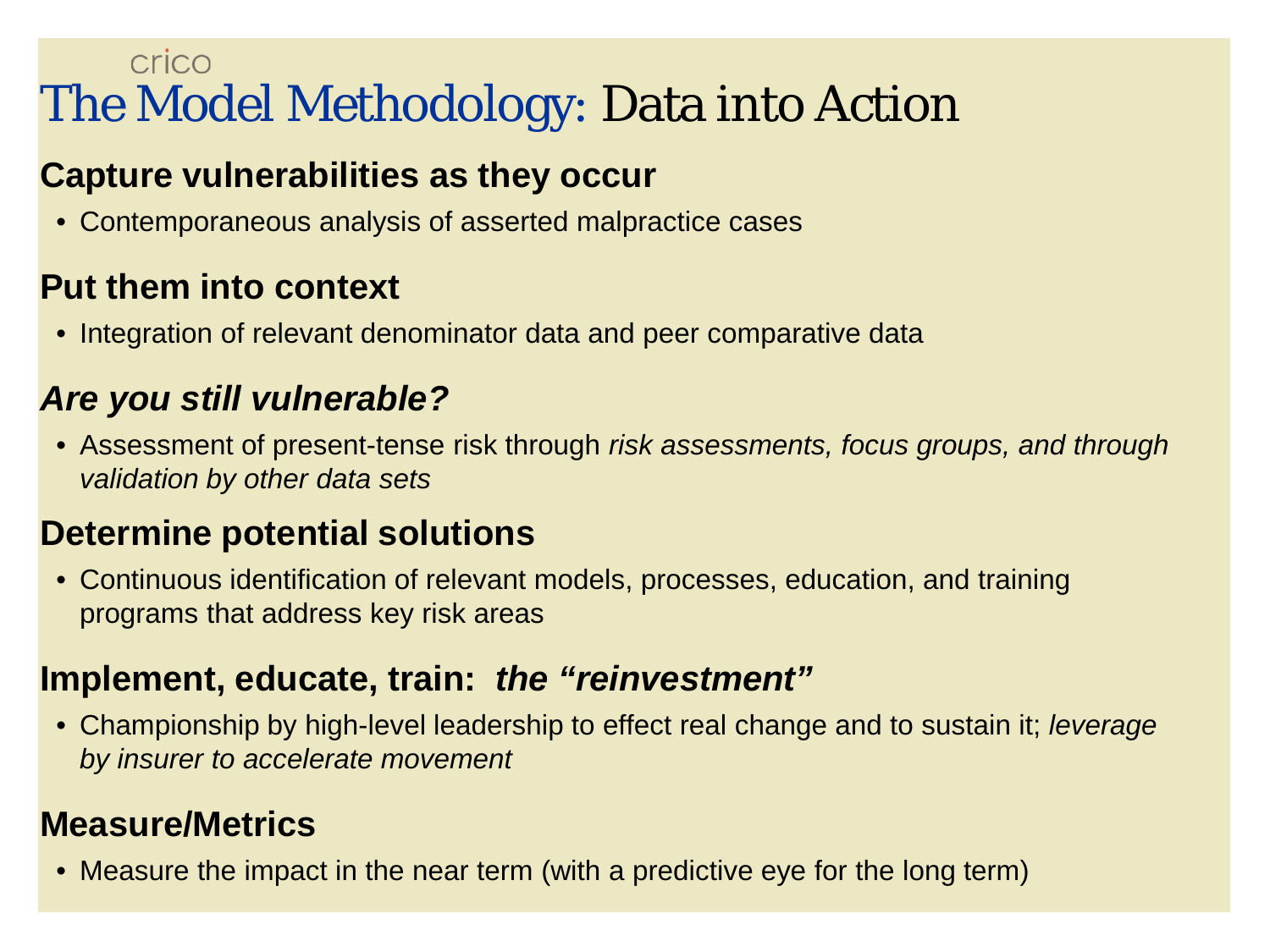## crico The Model Methodology: Data into Action

## **Capture vulnerabilities as they occur**

• Contemporaneous analysis of asserted malpractice cases

### **Put them into context**

• Integration of relevant denominator data and peer comparative data

### *Are you still vulnerable?*

• Assessment of present-tense risk through *risk assessments, focus groups, and through validation by other data sets*

## **Determine potential solutions**

• Continuous identification of relevant models, processes, education, and training programs that address key risk areas

### **Implement, educate, train:** *the "reinvestment"*

• Championship by high-level leadership to effect real change and to sustain it; *leverage by insurer to accelerate movement*

## **Measure/Metrics**

• Measure the impact in the near term (with a predictive eye for the long term)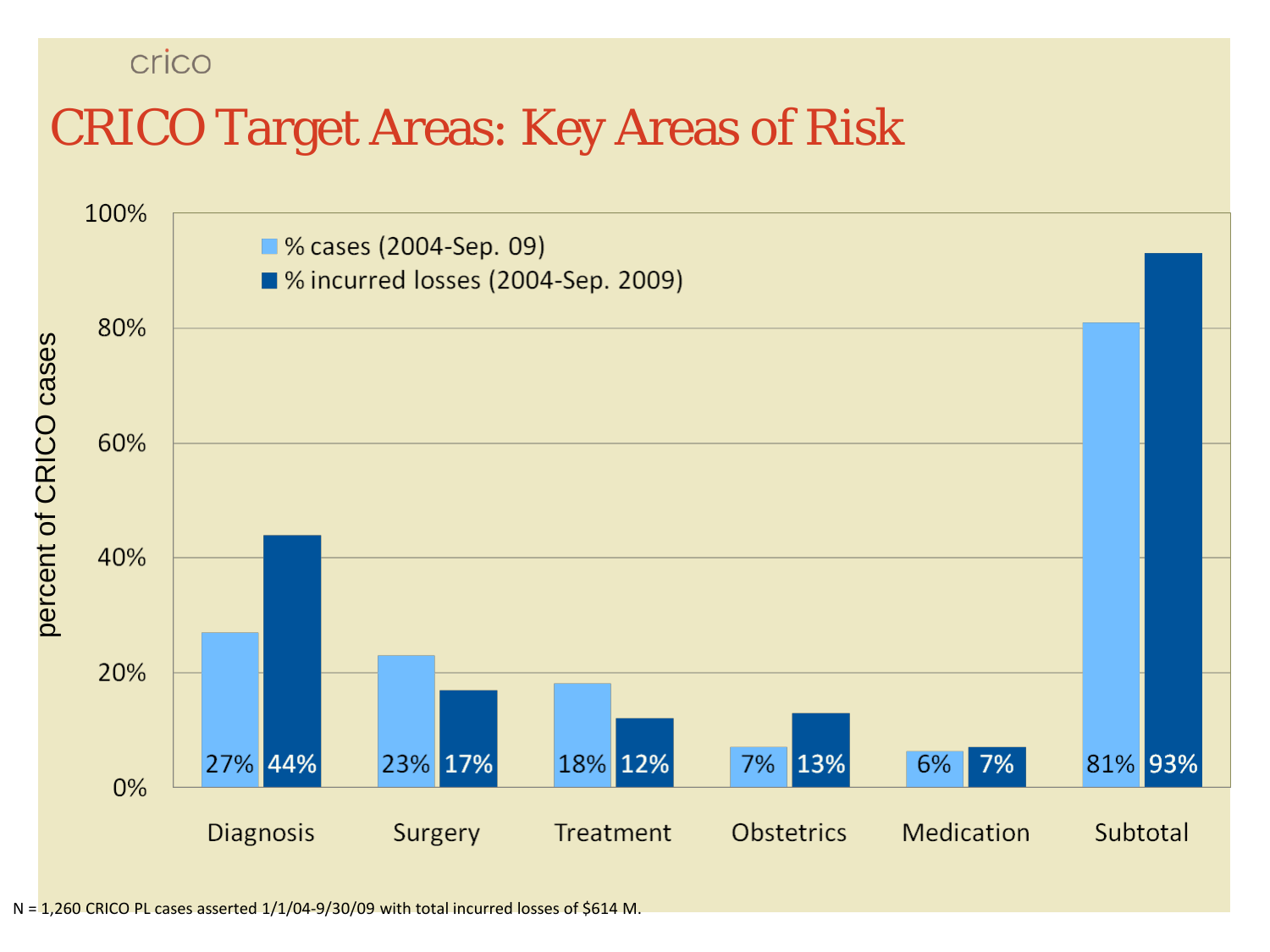crico

## CRICO Target Areas: Key Areas of Risk

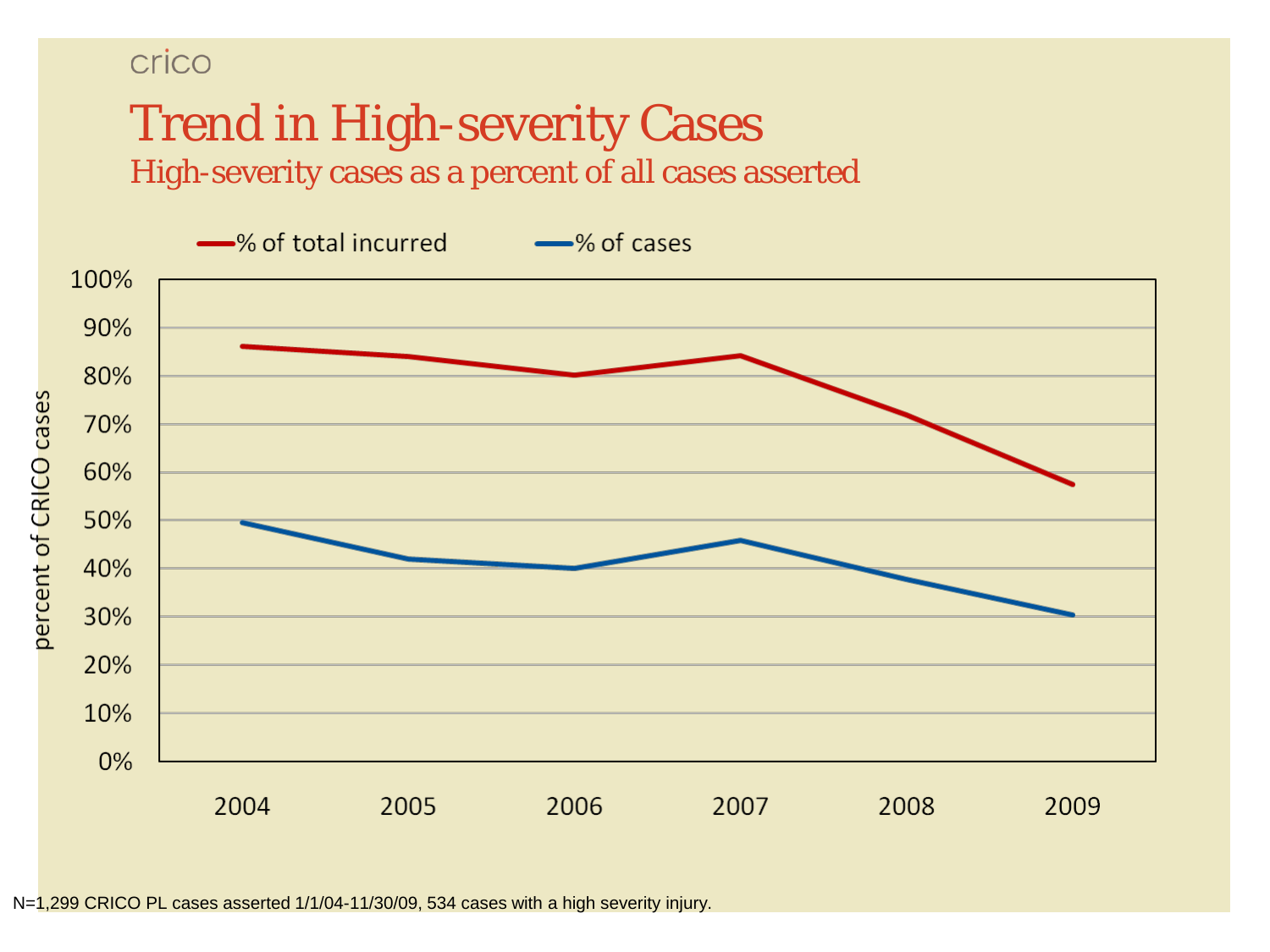### crico

## Trend in High-severity Cases High-severity cases as a percent of all cases asserted



N=1,299 CRICO PL cases asserted 1/1/04-11/30/09, 534 cases with a high severity injury.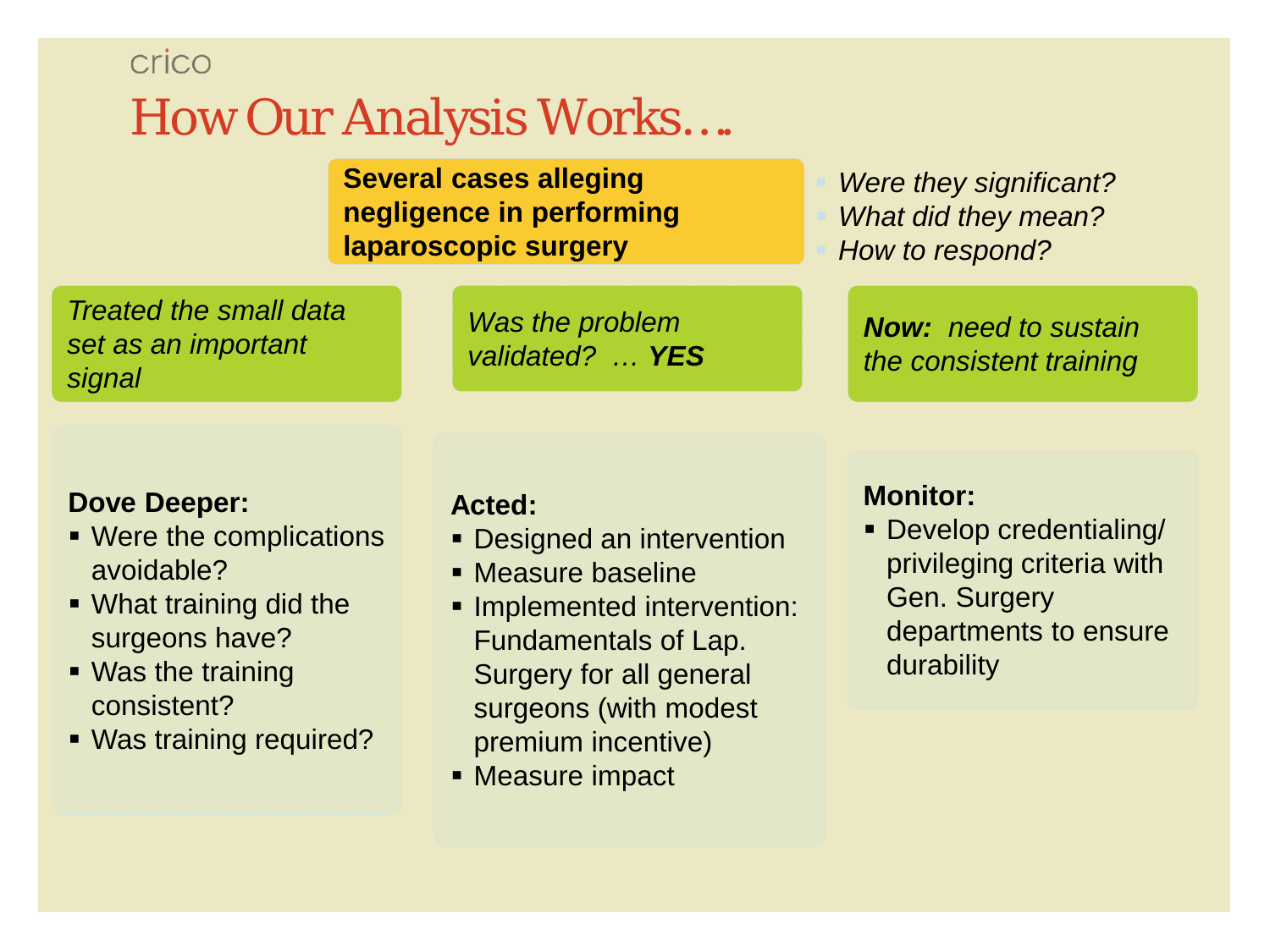## crico How Our Analysis Works….

**Several cases alleging negligence in performing laparoscopic surgery**

*Treated the small data set as an important signal*

*Was the problem validated? … YES*

 *Were they significant? What did they mean? How to respond?*

*Now: need to sustain the consistent training*

#### **Dove Deeper:**

- Were the complications avoidable?
- What training did the surgeons have?
- Was the training consistent?
- Was training required?

#### **Acted:**

- **Designed an intervention**
- Measure baseline
- **Implemented intervention:** Fundamentals of Lap. Surgery for all general surgeons (with modest premium incentive)
- **Measure impact**

#### **Monitor:**

 Develop credentialing/ privileging criteria with Gen. Surgery departments to ensure durability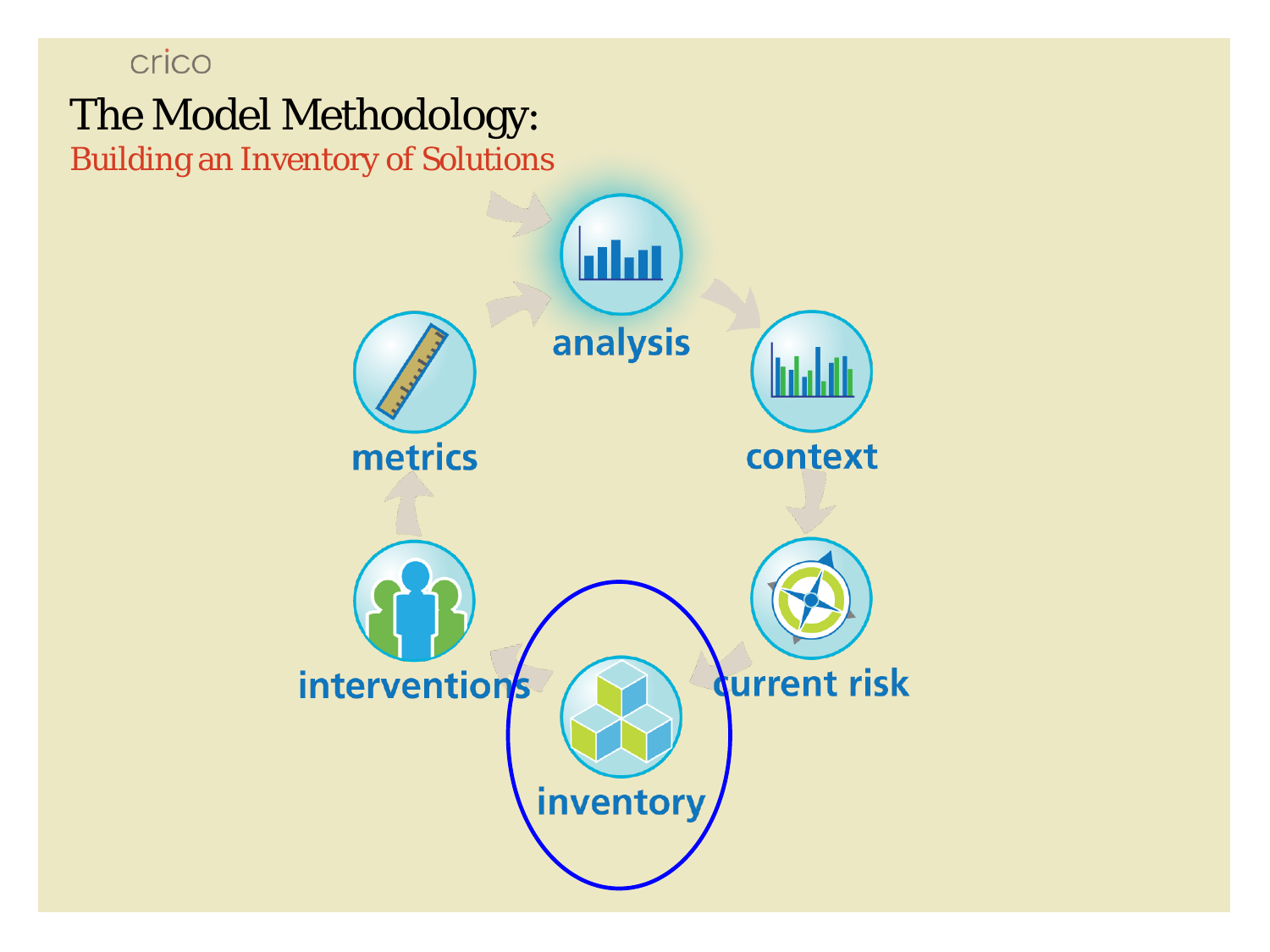# crico The Model Methodology: Building an Inventory of Solutions<u>latar</u> analysis metrics context interventions **Qurrent risk** inventory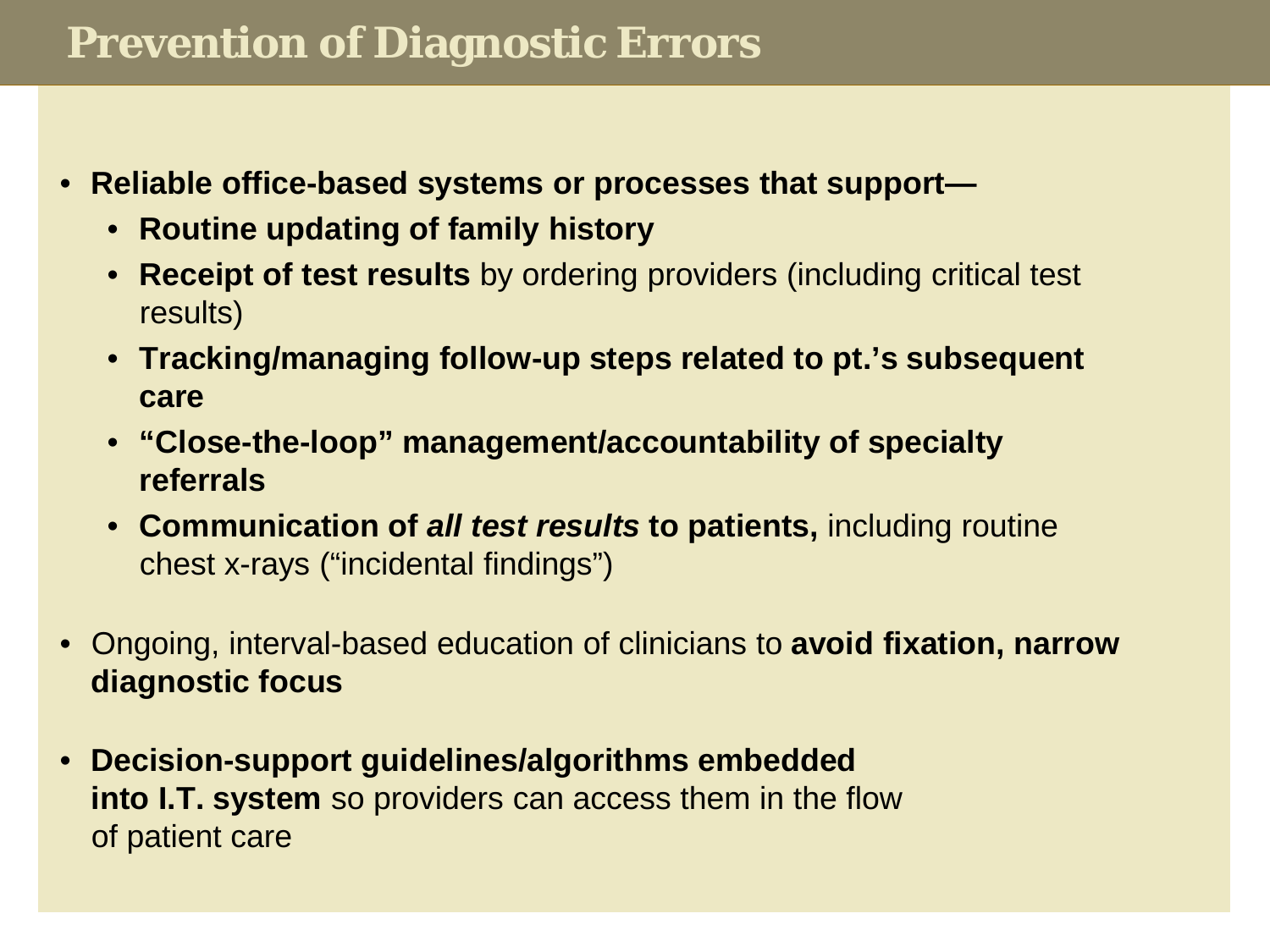## **Prevention of Diagnostic Errors**

- **Reliable office-based systems or processes that support—**
	- **Routine updating of family history**
	- **Receipt of test results** by ordering providers (including critical test results)
	- **Tracking/managing follow-up steps related to pt.'s subsequent care**
	- **"Close-the-loop" management/accountability of specialty referrals**
	- **Communication of** *all test results* **to patients,** including routine chest x-rays ("incidental findings")
- Ongoing, interval-based education of clinicians to **avoid fixation, narrow diagnostic focus**
- **Decision-support guidelines/algorithms embedded into I.T. system** so providers can access them in the flow of patient care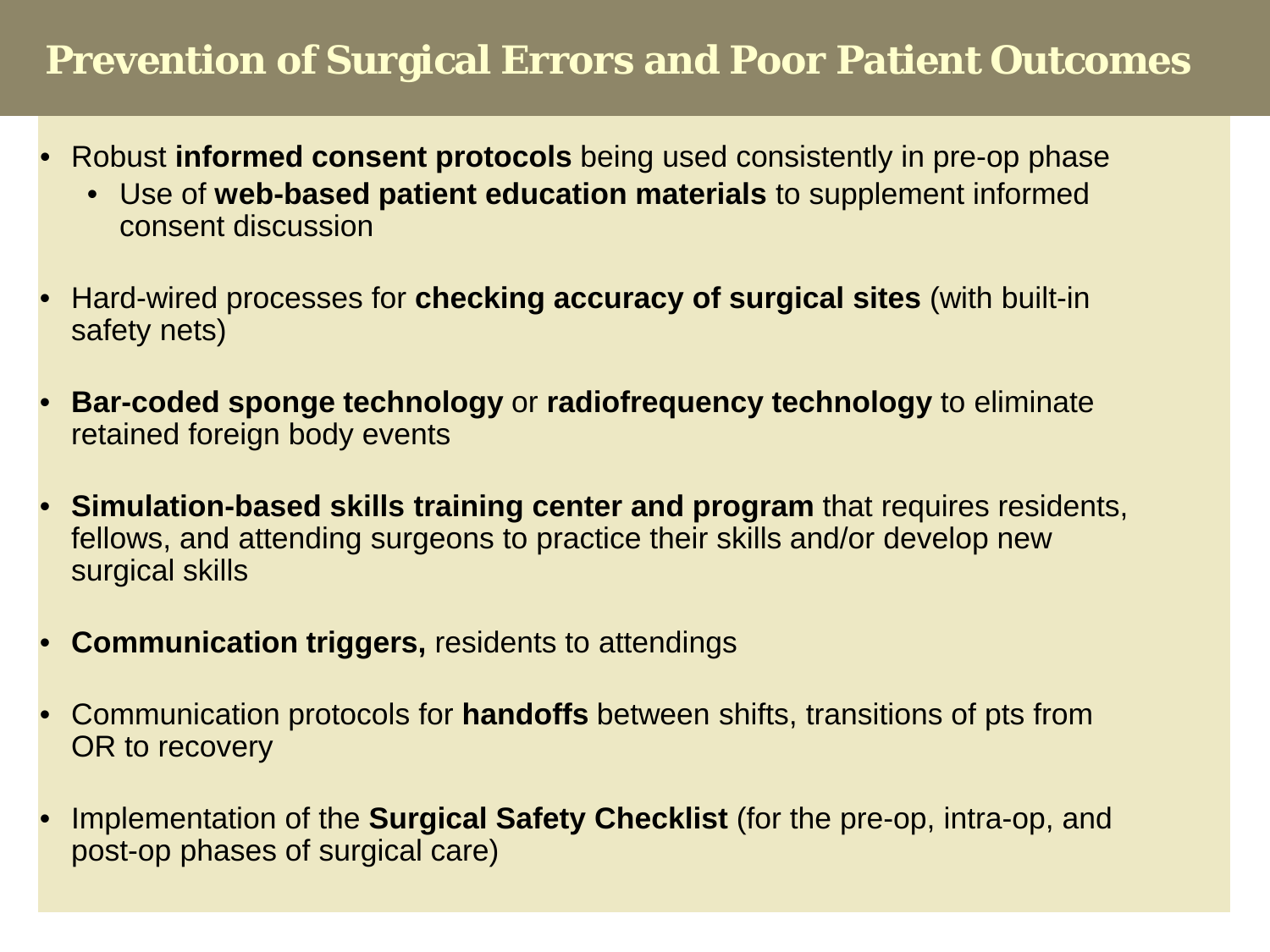## **Prevention of Surgical Errors and Poor Patient Outcomes**

- Robust **informed consent protocols** being used consistently in pre-op phase
	- Use of **web-based patient education materials** to supplement informed consent discussion
- Hard-wired processes for **checking accuracy of surgical sites** (with built-in safety nets)
- **Bar-coded sponge technology** or **radiofrequency technology** to eliminate retained foreign body events
- **Simulation-based skills training center and program** that requires residents, fellows, and attending surgeons to practice their skills and/or develop new surgical skills
- **Communication triggers,** residents to attendings
- Communication protocols for **handoffs** between shifts, transitions of pts from OR to recovery
- Implementation of the **Surgical Safety Checklist** (for the pre-op, intra-op, and post-op phases of surgical care)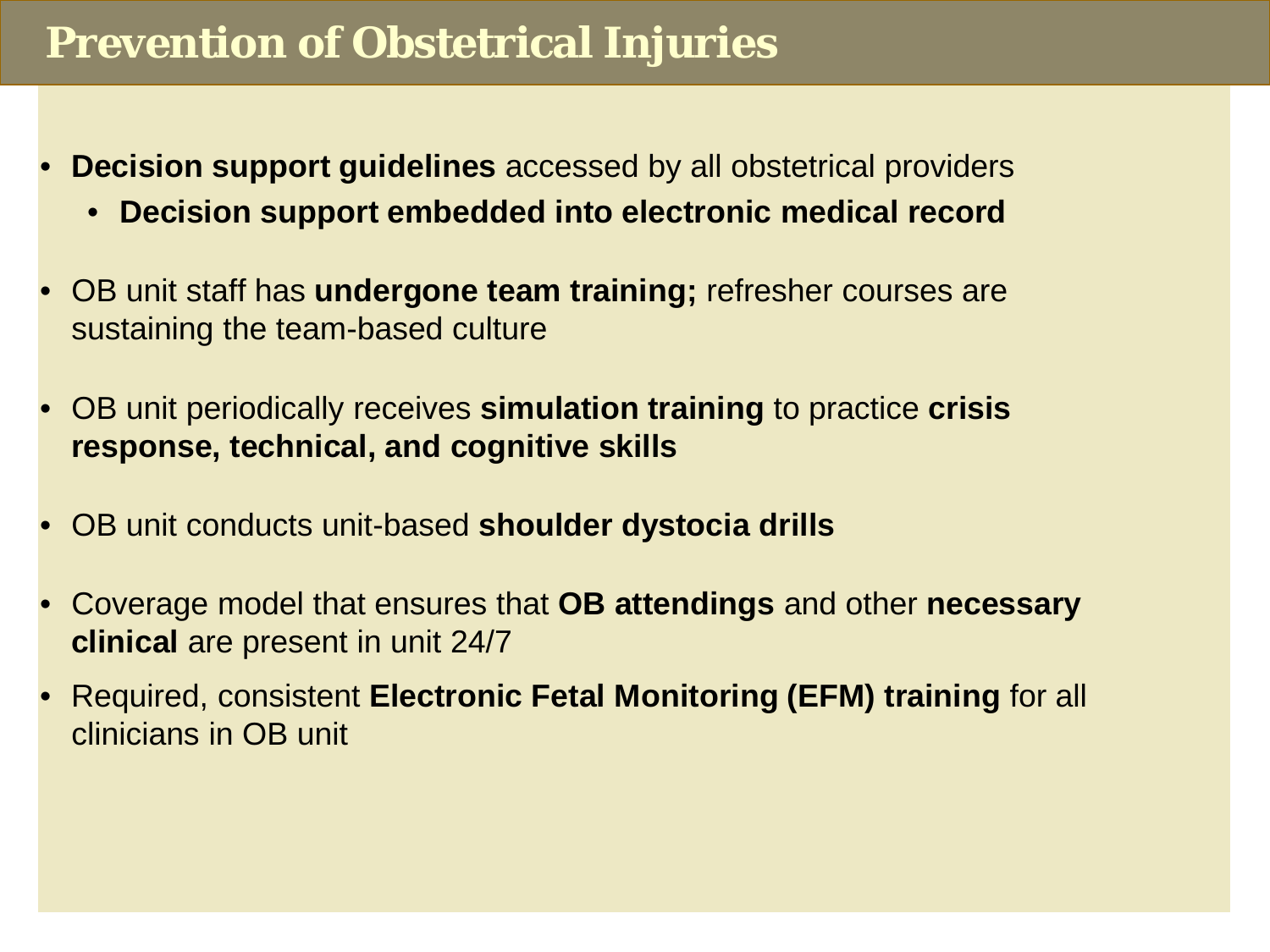## **Prevention of Obstetrical Injuries**

- **Decision support guidelines** accessed by all obstetrical providers
	- **Decision support embedded into electronic medical record**
- OB unit staff has **undergone team training;** refresher courses are sustaining the team-based culture
- OB unit periodically receives **simulation training** to practice **crisis response, technical, and cognitive skills**
- OB unit conducts unit-based **shoulder dystocia drills**
- Coverage model that ensures that **OB attendings** and other **necessary clinical** are present in unit 24/7
- Required, consistent **Electronic Fetal Monitoring (EFM) training** for all clinicians in OB unit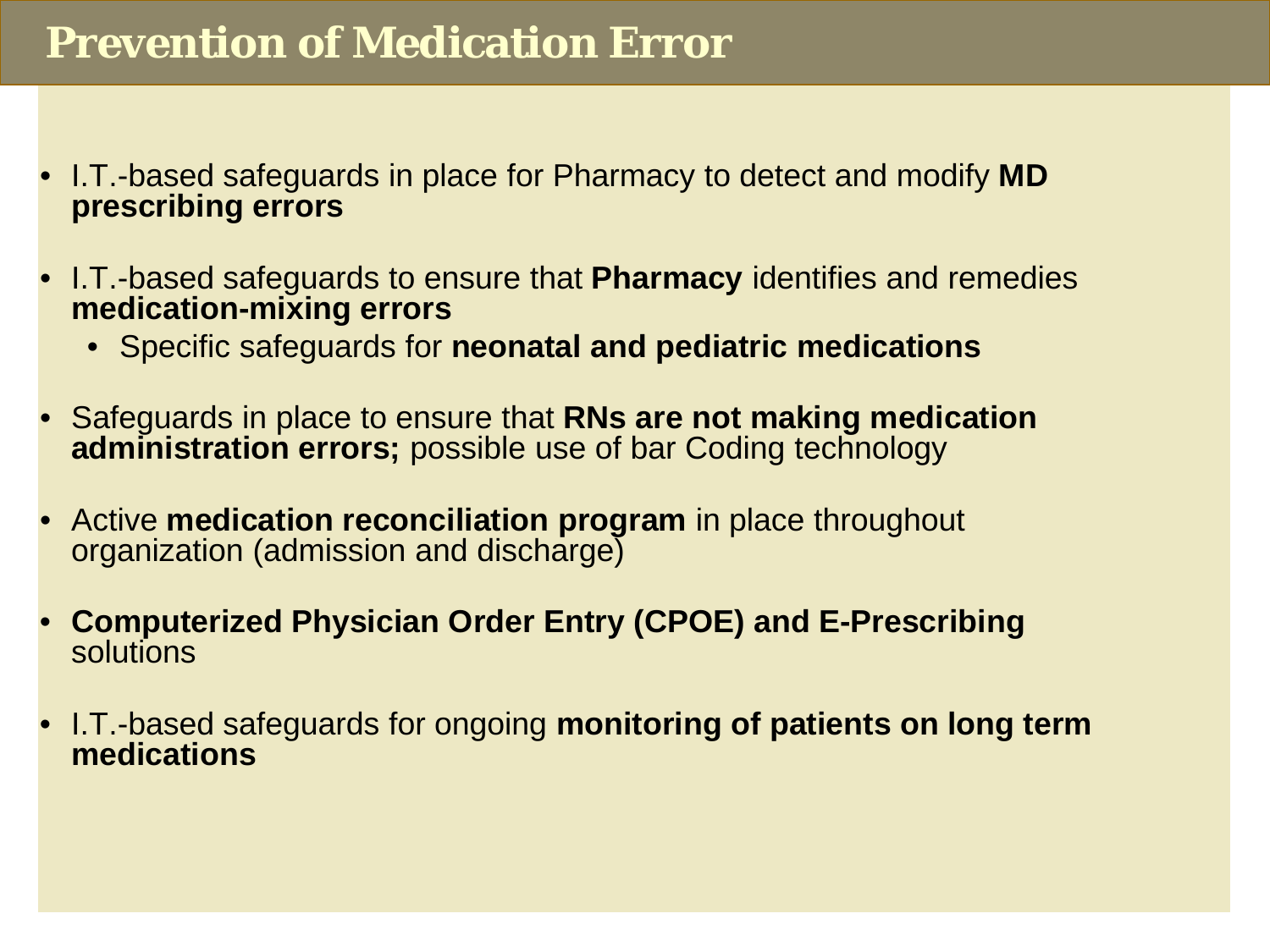## **Prevention of Medication Error**

- I.T.-based safeguards in place for Pharmacy to detect and modify **MD prescribing errors**
- I.T.-based safeguards to ensure that **Pharmacy** identifies and remedies **medication-mixing errors**
	- Specific safeguards for **neonatal and pediatric medications**
- Safeguards in place to ensure that **RNs are not making medication administration errors;** possible use of bar Coding technology
- Active **medication reconciliation program** in place throughout organization (admission and discharge)
- **Computerized Physician Order Entry (CPOE) and E-Prescribing**  solutions
- I.T.-based safeguards for ongoing **monitoring of patients on long term medications**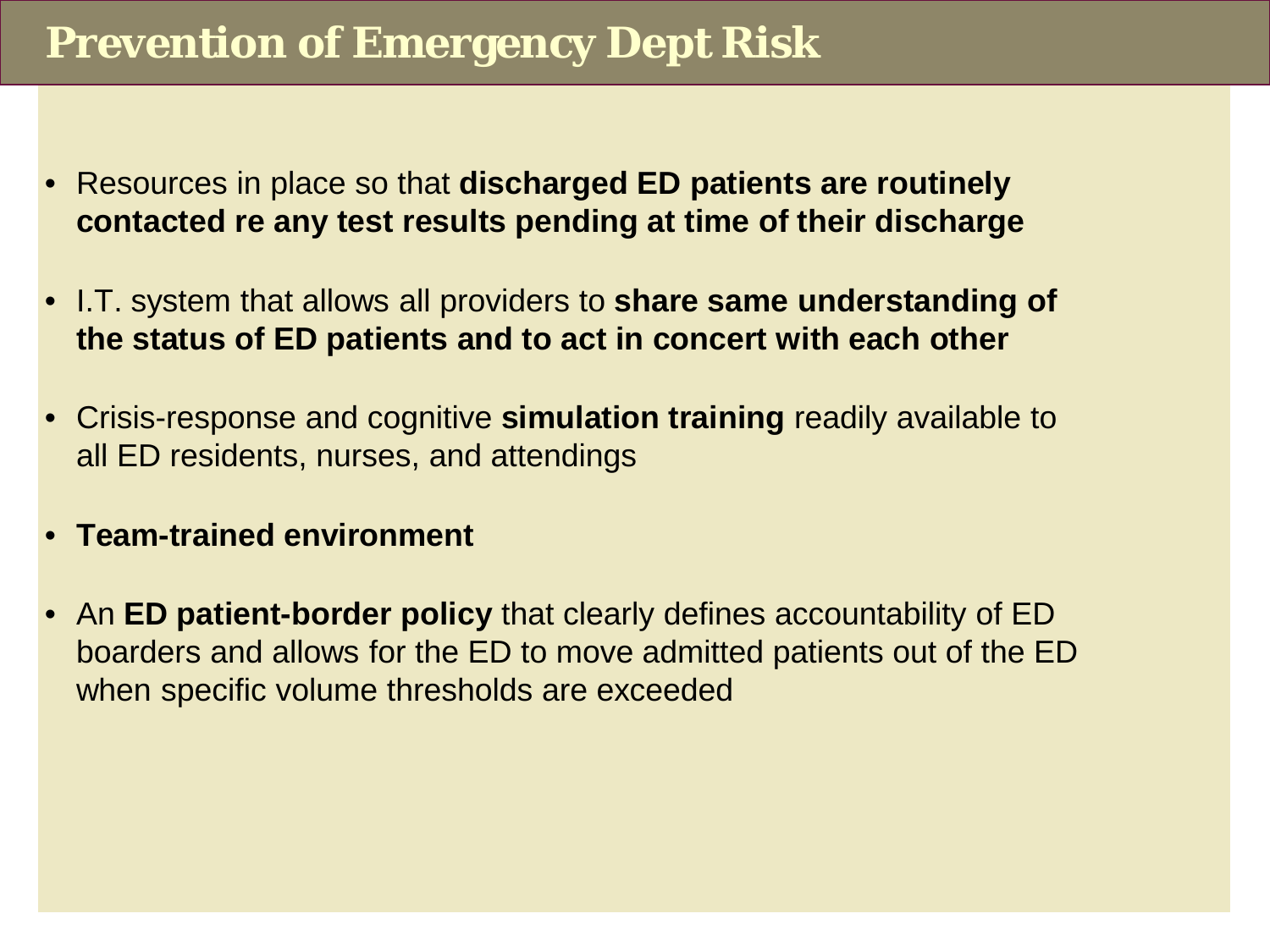## **Prevention of Emergency Dept Risk**

- Resources in place so that **discharged ED patients are routinely contacted re any test results pending at time of their discharge**
- I.T. system that allows all providers to **share same understanding of the status of ED patients and to act in concert with each other**
- Crisis-response and cognitive **simulation training** readily available to all ED residents, nurses, and attendings
- **Team-trained environment**
- An **ED patient-border policy** that clearly defines accountability of ED boarders and allows for the ED to move admitted patients out of the ED when specific volume thresholds are exceeded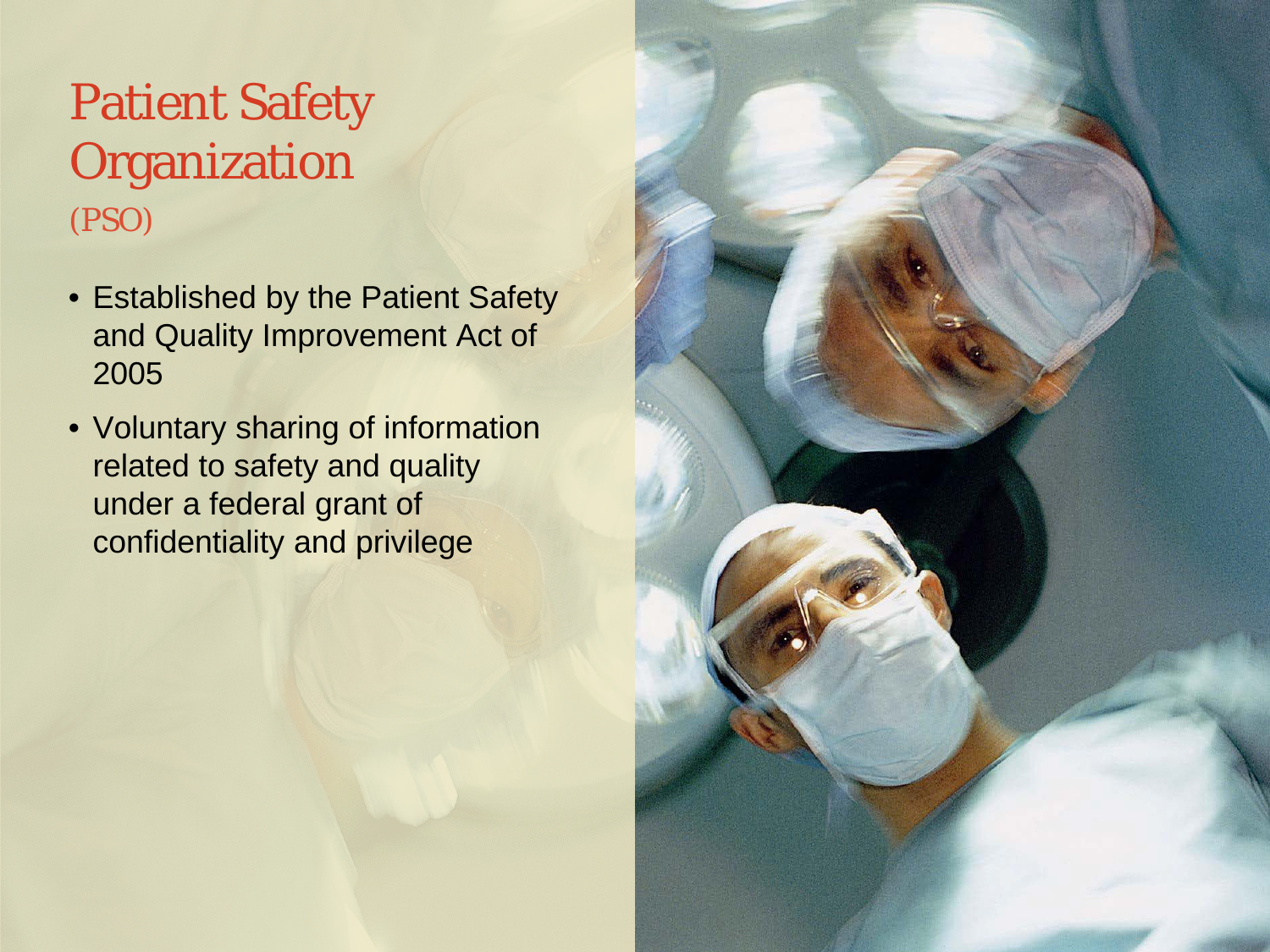## (PSO) Patient Safety **Organization**

- Established by the Patient Safety and Quality Improvement Act of 2005
- Voluntary sharing of information related to safety and quality under a federal grant of confidentiality and privilege

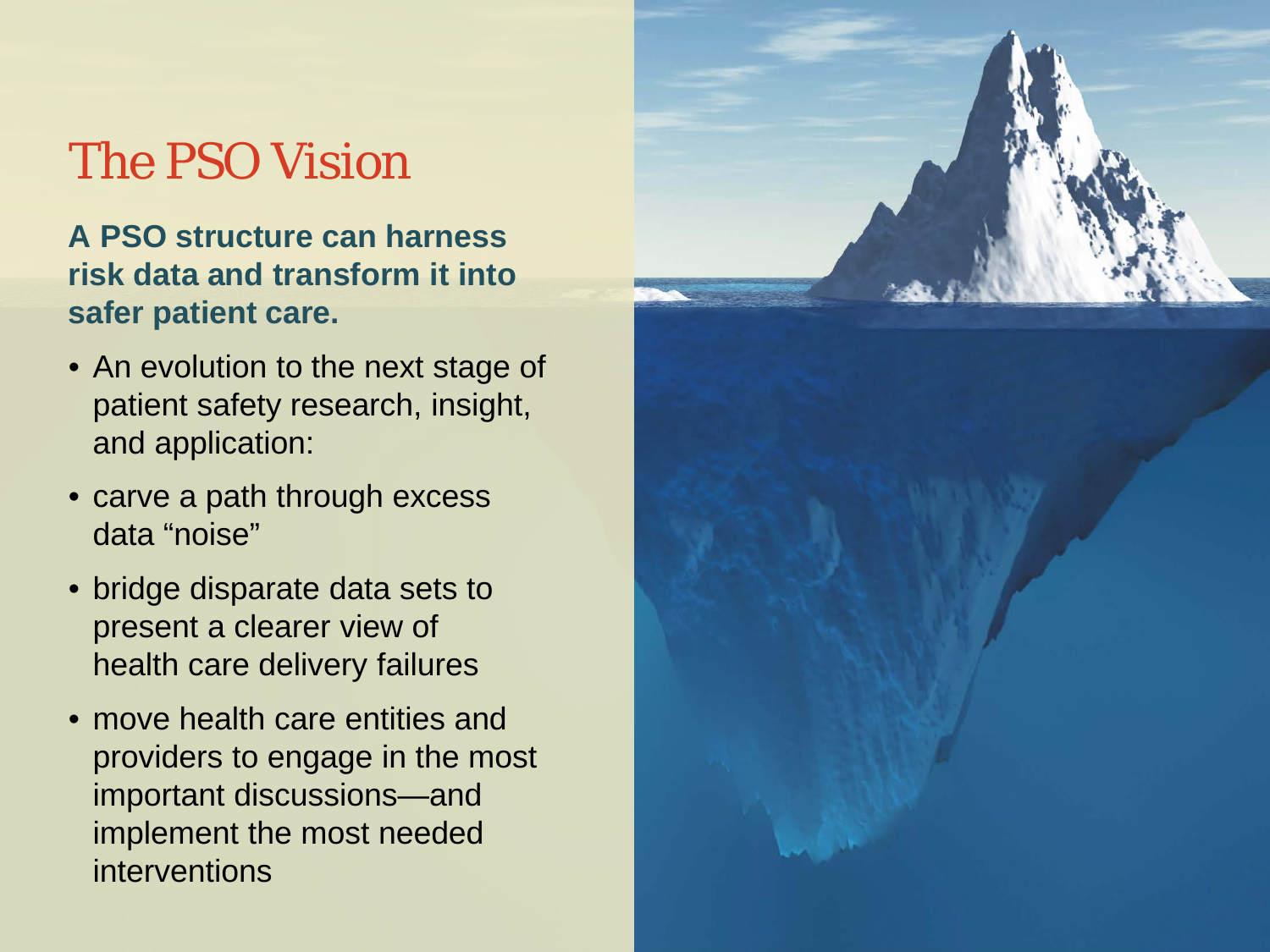## The PSO Vision

**A PSO structure can harness risk data and transform it into safer patient care.** 

- An evolution to the next stage of patient safety research, insight, and application:
- carve a path through excess data "noise"
- bridge disparate data sets to present a clearer view of health care delivery failures
- move health care entities and providers to engage in the most important discussions—and implement the most needed interventions